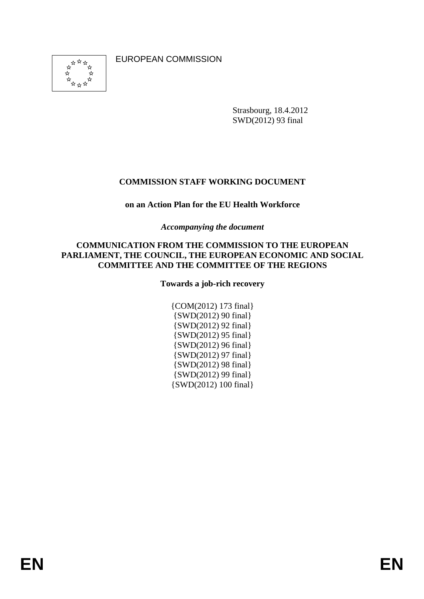<span id="page-0-0"></span>ิ๋ั่\*  $\frac{1}{\sqrt{2}}$ ☆ ង់<br>ជ<sub>ែង</sub> ☆

EUROPEAN COMMISSION

Strasbourg, 18.4.2012 SWD(2012) 93 final

# **COMMISSION STAFF WORKING DOCUMENT**

# **on an Action Plan for the EU Health Workforce**

*Accompanying the document* 

### **COMMUNICATION FROM THE COMMISSION TO THE EUROPEAN PARLIAMENT, THE COUNCIL, THE EUROPEAN ECONOMIC AND SOCIAL COMMITTEE AND THE COMMITTEE OF THE REGIONS**

**Towards a job-rich recovery** 

{COM(2012) 173 final} {SWD(2012) 90 final} {SWD(2012) 92 final} {SWD(2012) 95 final} {SWD(2012) 96 final} {SWD(2012) 97 final} {SWD(2012) 98 final} {SWD(2012) 99 final} {SWD(2012) 100 final}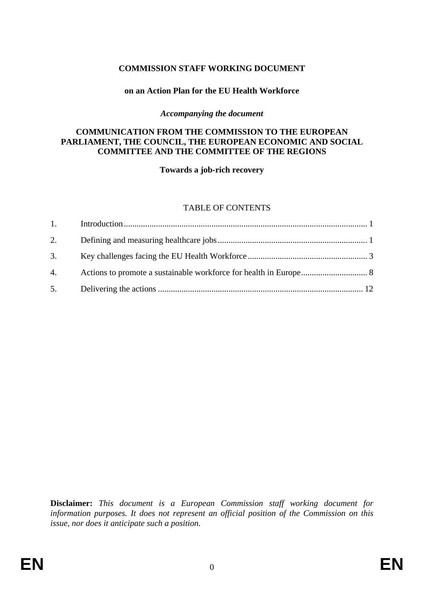## **COMMISSION STAFF WORKING DOCUMENT**

### **on an Action Plan for the EU Health Workforce**

#### *Accompanying the document*

### **COMMUNICATION FROM THE COMMISSION TO THE EUROPEAN PARLIAMENT, THE COUNCIL, THE EUROPEAN ECONOMIC AND SOCIAL COMMITTEE AND THE COMMITTEE OF THE REGIONS**

**Towards a job-rich recovery** 

### TABLE OF CONTENTS

| 2. |  |
|----|--|
| 3. |  |
| 4. |  |
|    |  |

**Disclaimer:** *This document is a European Commission staff working document for information purposes. It does not represent an official position of the Commission on this issue, nor does it anticipate such a position.*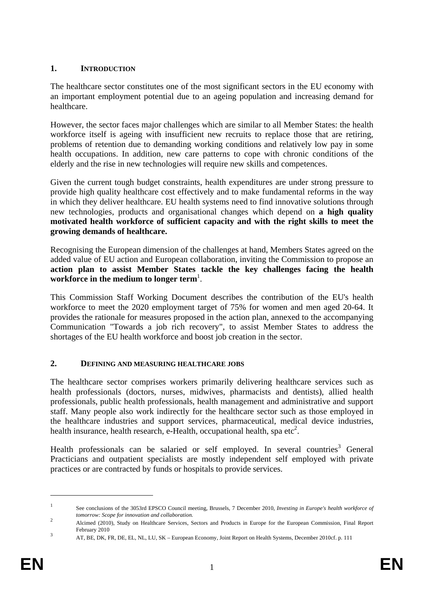# <span id="page-2-0"></span>**1. INTRODUCTION**

The healthcare sector constitutes one of the most significant sectors in the EU economy with an important employment potential due to an ageing population and increasing demand for healthcare.

However, the sector faces major challenges which are similar to all Member States: the health workforce itself is ageing with insufficient new recruits to replace those that are retiring, problems of retention due to demanding working conditions and relatively low pay in some health occupations. In addition, new care patterns to cope with chronic conditions of the elderly and the rise in new technologies will require new skills and competences.

Given the current tough budget constraints, health expenditures are under strong pressure to provide high quality healthcare cost effectively and to make fundamental reforms in the way in which they deliver healthcare. EU health systems need to find innovative solutions through new technologies, products and organisational changes which depend on **a high quality motivated health workforce of sufficient capacity and with the right skills to meet the growing demands of healthcare.** 

Recognising the European dimension of the challenges at hand, Members States agreed on the added value of EU action and European collaboration, inviting the Commission to propose an **action plan to assist Member States tackle the key challenges facing the health workforce in the medium to longer term**<sup>1</sup> .

This Commission Staff Working Document describes the contribution of the EU's health workforce to meet the 2020 employment target of 75% for women and men aged 20-64. It provides the rationale for measures proposed in the action plan, annexed to the accompanying Communication "Towards a job rich recovery", to assist Member States to address the shortages of the EU health workforce and boost job creation in the sector.

# <span id="page-2-1"></span>**2. DEFINING AND MEASURING HEALTHCARE JOBS**

The healthcare sector comprises workers primarily delivering healthcare services such as health professionals (doctors, nurses, midwives, pharmacists and dentists), allied health professionals, public health professionals, health management and administrative and support staff. Many people also work indirectly for the healthcare sector such as those employed in the healthcare industries and support services, pharmaceutical, medical device industries, health insurance, health research, e-Health, occupational health, spa etc<sup>2</sup>.

Health professionals can be salaried or self employed. In several countries<sup>3</sup> General Practicians and outpatient specialists are mostly independent self employed with private practices or are contracted by funds or hospitals to provide services.

<sup>1</sup> See conclusions of the 3053rd EPSCO Council meeting, Brussels, 7 December 2010, *Investing in Europe's health workforce of tomorrow: Scope for innovation and collaboration.* <sup>2</sup>

Alcimed (2010), Study on Healthcare Services, Sectors and Products in Europe for the European Commission, Final Report  $F<sub>e</sub>$ February 2010

AT, BE, DK, FR, DE, EL, NL, LU, SK – European Economy, Joint Report on Health Systems, December 2010cf. p. 111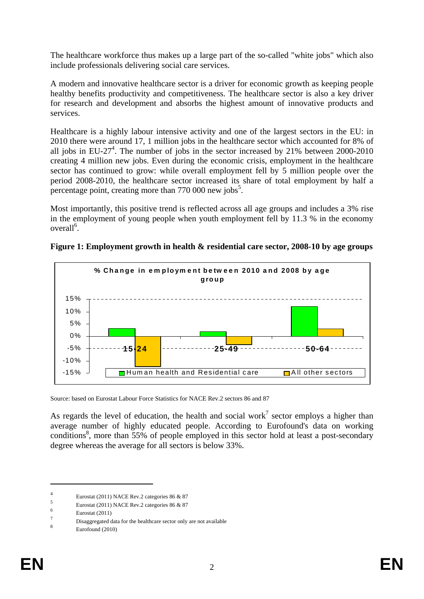The healthcare workforce thus makes up a large part of the so-called "white jobs" which also include professionals delivering social care services.

A modern and innovative healthcare sector is a driver for economic growth as keeping people healthy benefits productivity and competitiveness. The healthcare sector is also a key driver for research and development and absorbs the highest amount of innovative products and services.

Healthcare is a highly labour intensive activity and one of the largest sectors in the EU: in 2010 there were around 17, 1 million jobs in the healthcare sector which accounted for 8% of all jobs in EU-27<sup>4</sup>. The number of jobs in the sector increased by 21% between 2000-2010 creating 4 million new jobs. Even during the economic crisis, employment in the healthcare sector has continued to grow: while overall employment fell by 5 million people over the period 2008-2010, the healthcare sector increased its share of total employment by half a percentage point, creating more than  $770\,000$  new jobs<sup>5</sup>.

Most importantly, this positive trend is reflected across all age groups and includes a 3% rise in the employment of young people when youth employment fell by 11.3 % in the economy overall<sup>6</sup>.





Source: based on Eurostat Labour Force Statistics for NACE Rev.2 sectors 86 and 87

As regards the level of education, the health and social work<sup>7</sup> sector employs a higher than average number of highly educated people. According to Eurofound's data on working conditions<sup>8</sup>, more than 55% of people employed in this sector hold at least a post-secondary degree whereas the average for all sectors is below 33%.

<sup>4</sup> Eurostat (2011) NACE Rev.2 categories 86 & 87

<sup>5</sup> Eurostat (2011) NACE Rev.2 categories 86 & 87

<sup>6</sup> Eurostat (2011)

<sup>7</sup> Disaggregated data for the healthcare sector only are not available

<sup>8</sup> Eurofound (2010)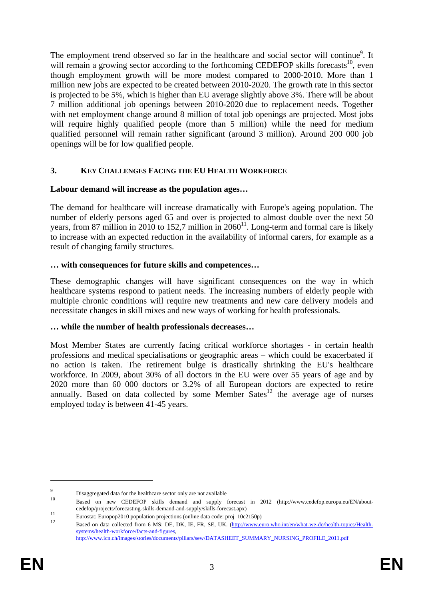The employment trend observed so far in the healthcare and social sector will continue<sup>9</sup>. It will remain a growing sector according to the forthcoming CEDEFOP skills forecasts<sup>10</sup>, even though employment growth will be more modest compared to 2000-2010. More than 1 million new jobs are expected to be created between 2010-2020. The growth rate in this sector is projected to be 5%, which is higher than EU average slightly above 3%. There will be about 7 million additional job openings between 2010-2020 due to replacement needs. Together with net employment change around 8 million of total job openings are projected. Most jobs will require highly qualified people (more than 5 million) while the need for medium qualified personnel will remain rather significant (around 3 million). Around 200 000 job openings will be for low qualified people.

## <span id="page-4-0"></span>**3. KEY CHALLENGES FACING THE EU HEALTH WORKFORCE**

### **Labour demand will increase as the population ages…**

The demand for healthcare will increase dramatically with Europe's ageing population. The number of elderly persons aged 65 and over is projected to almost double over the next 50 years, from 87 million in 2010 to 152,7 million in  $2060^{11}$ . Long-term and formal care is likely to increase with an expected reduction in the availability of informal carers, for example as a result of changing family structures.

### **… with consequences for future skills and competences…**

These demographic changes will have significant consequences on the way in which healthcare systems respond to patient needs. The increasing numbers of elderly people with multiple chronic conditions will require new treatments and new care delivery models and necessitate changes in skill mixes and new ways of working for health professionals.

## **… while the number of health professionals decreases…**

Most Member States are currently facing critical workforce shortages - in certain health professions and medical specialisations or geographic areas – which could be exacerbated if no action is taken. The retirement bulge is drastically shrinking the EU's healthcare workforce. In 2009, about 30% of all doctors in the EU were over 55 years of age and by 2020 more than 60 000 doctors or 3.2% of all European doctors are expected to retire annually. Based on data collected by some Member  $Sates^{12}$  the average age of nurses employed today is between 41-45 years.

<u>.</u>

<sup>9</sup> Disaggregated data for the healthcare sector only are not available

<sup>10</sup> Based on new CEDEFOP skills demand and supply forecast in 2012 (http://www.cedefop.europa.eu/EN/about-

cedefop/projects/forecasting-skills-demand-and-supply/skills-forecast.apx)<br>
Eurostat: Europop2010 population projections (online data code: proj\_10c2150p)<br>
Based on data collected from 6 MS: DE, DK, IE, FR, SE, UK. (http:/ [systems/health-workforce/facts-and-figures,](http://www.euro.who.int/en/what-we-do/health-topics/Health-systems/health-workforce/facts-and-figures)  [http://www.icn.ch/images/stories/documents/pillars/sew/DATASHEET\\_SUMMARY\\_NURSING\\_PROFILE\\_2011.pdf](http://www.icn.ch/images/stories/documents/pillars/sew/DATASHEET_SUMMARY_NURSING_PROFILE_2011.pdf)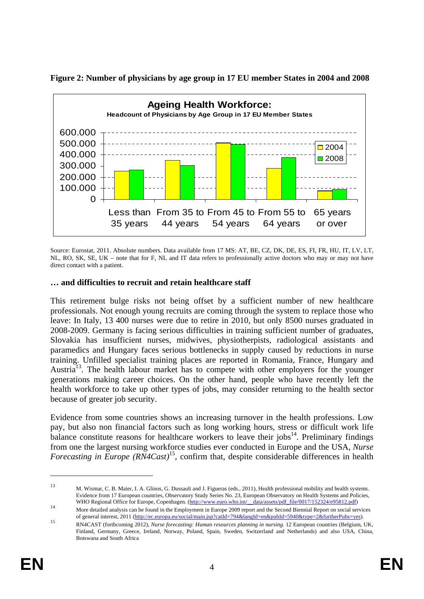

**Figure 2: Number of physicians by age group in 17 EU member States in 2004 and 2008** 

Source: Eurostat, 2011. Absolute numbers. Data available from 17 MS: AT, BE, CZ, DK, DE, ES, FI, FR, HU, IT, LV, LT, NL, RO, SK, SE, UK – note that for F, NL and IT data refers to professionally active doctors who may or may not have direct contact with a patient.

## **… and difficulties to recruit and retain healthcare staff**

This retirement bulge risks not being offset by a sufficient number of new healthcare professionals. Not enough young recruits are coming through the system to replace those who leave: In Italy, 13 400 nurses were due to retire in 2010, but only 8500 nurses graduated in 2008-2009. Germany is facing serious difficulties in training sufficient number of graduates, Slovakia has insufficient nurses, midwives, physiotherpists, radiological assistants and paramedics and Hungary faces serious bottlenecks in supply caused by reductions in nurse training. Unfilled specialist training places are reported in Romania, France, Hungary and Austria<sup>13</sup>. The health labour market has to compete with other employers for the younger generations making career choices. On the other hand, people who have recently left the health workforce to take up other types of jobs, may consider returning to the health sector because of greater job security.

Evidence from some countries shows an increasing turnover in the health professions. Low pay, but also non financial factors such as long working hours, stress or difficult work life balance constitute reasons for healthcare workers to leave their jobs $14$ . Preliminary findings from one the largest nursing workforce studies ever conducted in Europe and the USA, *Nurse Forecasting in Europe (RN4Cast)*15, confirm that, despite considerable differences in health

<sup>13</sup> M. Wismar, C. B. Maier, I. A. Glinos, G. Dussault and J. Figueras (eds., 2011), Health professional mobility and health systems. Evidence from 17 European countries, Observatory Study Series No. 23, European Observatory on Health Systems and Policies, [WHO Regional Office for Europe, Copenhagen.](http://www.euro.who.int/__data/assets/pdf_file/0017/152324/e95812.pdf) (http://www.euro.who.int/ data/assets/pdf file/0017/152324/e95812.pdf)<br>[More detailed analysis can be found in the Emplo](http://www.euro.who.int/__data/assets/pdf_file/0017/152324/e95812.pdf)yment in Europe 2009 report and the Second Biennial Report

of general interest, 2011 [\(http://ec.europa.eu/social/main.jsp?catId=794&langId=en&pubId=5940&type=2&furtherPubs=yes\).](http://ec.europa.eu/social/main.jsp?catId=794&langId=en&pubId=5940&type=2&furtherPubs=yes)<br>RN4CAST (forthcoming 2012), Nurse forecasting: Human resources planning in nursing. 12 European countri Finland, Germany, Greece, Ireland, Norway, Poland, Spain, Sweden, Switzerland and Netherlands) and also USA, China, Botswana and South Africa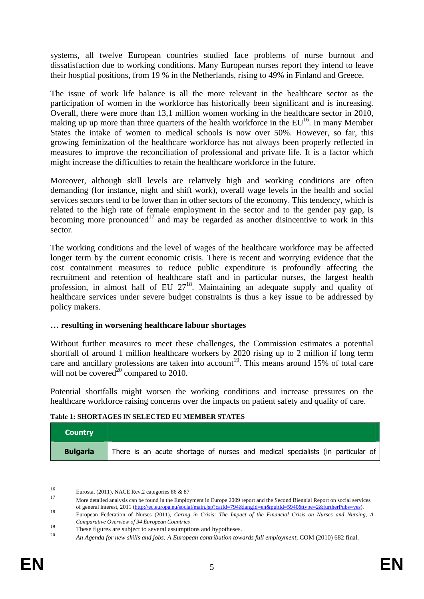systems, all twelve European countries studied face problems of nurse burnout and dissatisfaction due to working conditions. Many European nurses report they intend to leave their hosptial positions, from 19 % in the Netherlands, rising to 49% in Finland and Greece.

The issue of work life balance is all the more relevant in the healthcare sector as the participation of women in the workforce has historically been significant and is increasing. Overall, there were more than 13,1 million women working in the healthcare sector in 2010, making up up more than three quarters of the health workforce in the  $EU^{16}$ . In many Member States the intake of women to medical schools is now over 50%. However, so far, this growing feminization of the healthcare workforce has not always been properly reflected in measures to improve the reconciliation of professional and private life. It is a factor which might increase the difficulties to retain the healthcare workforce in the future.

Moreover, although skill levels are relatively high and working conditions are often demanding (for instance, night and shift work), overall wage levels in the health and social services sectors tend to be lower than in other sectors of the economy. This tendency, which is related to the high rate of female employment in the sector and to the gender pay gap, is becoming more pronounced<sup>17</sup> and may be regarded as another disincentive to work in this sector.

The working conditions and the level of wages of the healthcare workforce may be affected longer term by the current economic crisis. There is recent and worrying evidence that the cost containment measures to reduce public expenditure is profoundly affecting the recruitment and retention of healthcare staff and in particular nurses, the largest health profession, in almost half of EU 27<sup>18</sup>. Maintaining an adequate supply and quality of healthcare services under severe budget constraints is thus a key issue to be addressed by policy makers.

# **… resulting in worsening healthcare labour shortages**

Without further measures to meet these challenges, the Commission estimates a potential shortfall of around 1 million healthcare workers by 2020 rising up to 2 million if long term care and ancillary professions are taken into account<sup>19</sup>. This means around  $15\%$  of total care will not be covered<sup>20</sup> compared to 2010.

Potential shortfalls might worsen the working conditions and increase pressures on the healthcare workforce raising concerns over the impacts on patient safety and quality of care.

#### **Table 1: SHORTAGES IN SELECTED EU MEMBER STATES**

| <b>Country</b>  |                                                                                |
|-----------------|--------------------------------------------------------------------------------|
| <b>Bulgaria</b> | There is an acute shortage of nurses and medical specialists (in particular of |

<sup>16</sup> Eurostat (2011), NACE Rev.2 categories 86 & 87

<u>.</u>

<sup>17</sup> More detailed analysis can be found in the Employment in Europe 2009 report and the Second Biennial Report on social services

of general interest, 2011 [\(http://e](http://ec.europa.eu/social/main.jsp?catId=794&langId=en&pubId=5940&type=2&furtherPubs=yes)c.europa.eu/social/main.jsp?catId=794&langId=en&pubId=5940&type=2&furtherPubs=yes).<br>
Buropean Federation o[f Nurses](http://ec.europa.eu/social/main.jsp?catId=794&langId=en&pubId=5940&type=2&furtherPubs=yes) (2011), Caring in Crisis: The Impact of the Financial Crisis on Nurses a *Comparative Overview of 34 European Countries*

<sup>&</sup>lt;sup>19</sup><br>These figures are subject to several assumptions and hypotheses.<br><sup>20</sup>

<sup>20</sup> *An Agenda for new skills and jobs: A European contribution towards full employment*, COM (2010) 682 final.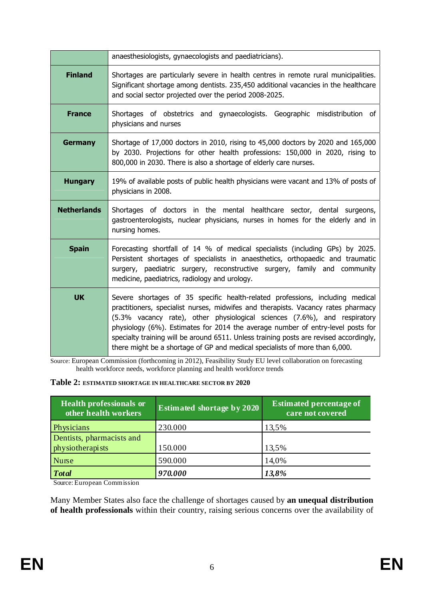|                    | anaesthesiologists, gynaecologists and paediatricians).                                                                                                                                                                                                                                                                                                                                                                                                                                                     |  |  |
|--------------------|-------------------------------------------------------------------------------------------------------------------------------------------------------------------------------------------------------------------------------------------------------------------------------------------------------------------------------------------------------------------------------------------------------------------------------------------------------------------------------------------------------------|--|--|
| <b>Finland</b>     | Shortages are particularly severe in health centres in remote rural municipalities.<br>Significant shortage among dentists. 235,450 additional vacancies in the healthcare<br>and social sector projected over the period 2008-2025.                                                                                                                                                                                                                                                                        |  |  |
| <b>France</b>      | Shortages of obstetrics and gynaecologists. Geographic misdistribution of<br>physicians and nurses                                                                                                                                                                                                                                                                                                                                                                                                          |  |  |
| <b>Germany</b>     | Shortage of 17,000 doctors in 2010, rising to 45,000 doctors by 2020 and 165,000<br>by 2030. Projections for other health professions: 150,000 in 2020, rising to<br>800,000 in 2030. There is also a shortage of elderly care nurses.                                                                                                                                                                                                                                                                      |  |  |
| <b>Hungary</b>     | 19% of available posts of public health physicians were vacant and 13% of posts of<br>physicians in 2008.                                                                                                                                                                                                                                                                                                                                                                                                   |  |  |
| <b>Netherlands</b> | Shortages of doctors in the mental healthcare sector, dental surgeons,<br>gastroenterologists, nuclear physicians, nurses in homes for the elderly and in<br>nursing homes.                                                                                                                                                                                                                                                                                                                                 |  |  |
| <b>Spain</b>       | Forecasting shortfall of 14 % of medical specialists (including GPs) by 2025.<br>Persistent shortages of specialists in anaesthetics, orthopaedic and traumatic<br>surgery, paediatric surgery, reconstructive surgery, family and community<br>medicine, paediatrics, radiology and urology.                                                                                                                                                                                                               |  |  |
| <b>UK</b>          | Severe shortages of 35 specific health-related professions, including medical<br>practitioners, specialist nurses, midwifes and therapists. Vacancy rates pharmacy<br>(5.3% vacancy rate), other physiological sciences (7.6%), and respiratory<br>physiology (6%). Estimates for 2014 the average number of entry-level posts for<br>specialty training will be around 6511. Unless training posts are revised accordingly,<br>there might be a shortage of GP and medical specialists of more than 6,000. |  |  |

Source: European Commission (forthcoming in 2012), Feasibility Study EU level collaboration on forecasting health workforce needs, workforce planning and health workforce trends

### **Table 2: ESTIMATED SHORTAGE IN HEALTHCARE SECTOR BY 2020**

| <b>Health professionals or</b><br>other health workers | <b>Estimated shortage by 2020</b> | <b>Estimated percentage of</b><br>care not covered |
|--------------------------------------------------------|-----------------------------------|----------------------------------------------------|
| Physicians                                             | 230.000                           | 13,5%                                              |
| Dentists, pharmacists and                              |                                   |                                                    |
| physiotherapists                                       | 150.000                           | 13,5%                                              |
| <b>Nurse</b>                                           | 590.000                           | 14,0%                                              |
| <b>Total</b>                                           | 970.000                           | 13,8%                                              |

Source: European Commission

Many Member States also face the challenge of shortages caused by **an unequal distribution of health professionals** within their country, raising serious concerns over the availability of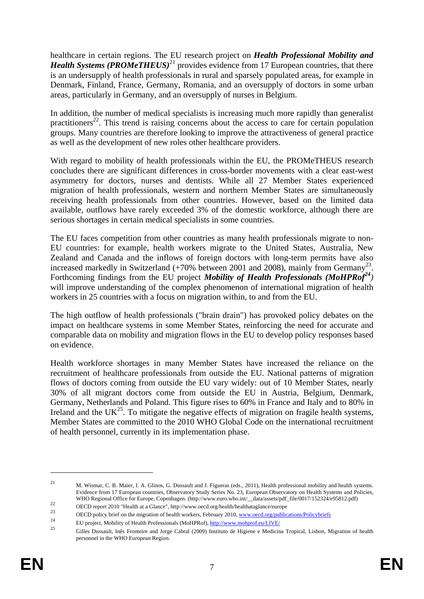healthcare in certain regions. The EU research project on *Health Professional Mobility and Health Systems (PROMeTHEUS)*<sup>21</sup> provides evidence from 17 European countries, that there is an undersupply of health professionals in rural and sparsely populated areas, for example in Denmark, Finland, France, Germany, Romania, and an oversupply of doctors in some urban areas, particularly in Germany, and an oversupply of nurses in Belgium.

In addition, the number of medical specialists is increasing much more rapidly than generalist practitioners<sup>22</sup>. This trend is raising concerns about the access to care for certain population groups. Many countries are therefore looking to improve the attractiveness of general practice as well as the development of new roles other healthcare providers.

With regard to mobility of health professionals within the EU, the PROMeTHEUS research concludes there are significant differences in cross-border movements with a clear east-west asymmetry for doctors, nurses and dentists. While all 27 Member States experienced migration of health professionals, western and northern Member States are simultaneously receiving health professionals from other countries. However, based on the limited data available, outflows have rarely exceeded 3% of the domestic workforce, although there are serious shortages in certain medical specialists in some countries.

The EU faces competition from other countries as many health professionals migrate to non-EU countries: for example, health workers migrate to the United States, Australia, New Zealand and Canada and the inflows of foreign doctors with long-term permits have also increased markedly in Switzerland  $(+70\%$  between 2001 and 2008), mainly from Germany<sup>23</sup>. Forthcoming findings from the EU project *Mobility of Health Professionals (MoHPRof<sup>24</sup>)* will improve understanding of the complex phenomenon of international migration of health workers in 25 countries with a focus on migration within, to and from the EU.

The high outflow of health professionals ("brain drain") has provoked policy debates on the impact on healthcare systems in some Member States, reinforcing the need for accurate and comparable data on mobility and migration flows in the EU to develop policy responses based on evidence.

Health workforce shortages in many Member States have increased the reliance on the recruitment of healthcare professionals from outside the EU. National patterns of migration flows of doctors coming from outside the EU vary widely: out of 10 Member States, nearly 30% of all migrant doctors come from outside the EU in Austria, Belgium, Denmark, Germany, Netherlands and Poland. This figure rises to 60% in France and Italy and to 80% in Ireland and the  $UK^{25}$ . To mitigate the negative effects of migration on fragile health systems, Member States are committed to the 2010 WHO Global Code on the international recruitment of health personnel, currently in its implementation phase.

<sup>21</sup> M. Wismar, C. B. Maier, I. A. Glinos, G. Dussault and J. Figueras (eds., 2011), Health professional mobility and health systems. Evidence from 17 European countries, Observatory Study Series No. 23, European Observatory on Health Systems and Policies, WHO Regional Office for Europe, Copenhagen. (http://www.euro.who.int/\_data/assets/pdf\_file/0017/152324/e95812.pdf)<br>OECD report 2010 "Health at a Glance", http://www.oecd.org/health/healthataglance/europe<br>OECD policy brief

<sup>&</sup>lt;sup>24</sup> EU project, Mobility of Health Professionals (MoHPRof),  $\frac{http://www.mohprof.eu/LIVE/25}$ 

<sup>25</sup> Gilles Dussault, Inês Fronteire and Jorge Cabral (2009) Instituto de Higiene e Medicina Tropical, Lisbon, Migration of health personnel in the WHO European Region.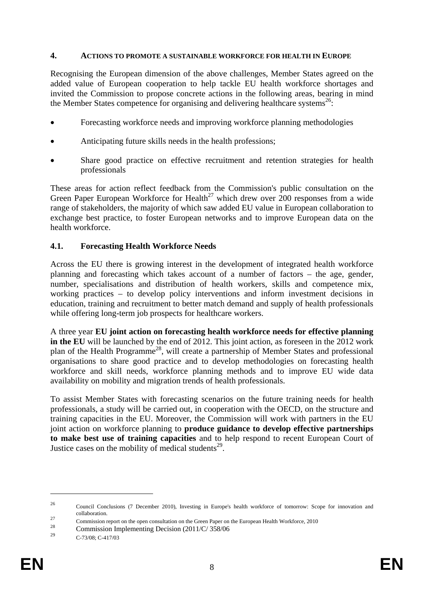### <span id="page-9-0"></span>**4. ACTIONS TO PROMOTE A SUSTAINABLE WORKFORCE FOR HEALTH IN EUROPE**

Recognising the European dimension of the above challenges, Member States agreed on the added value of European cooperation to help tackle EU health workforce shortages and invited the Commission to propose concrete actions in the following areas, bearing in mind the Member States competence for organising and delivering healthcare systems<sup>26</sup>:

- Forecasting workforce needs and improving workforce planning methodologies
- Anticipating future skills needs in the health professions;
- Share good practice on effective recruitment and retention strategies for health professionals

These areas for action reflect feedback from the Commission's public consultation on the Green Paper European Workforce for Health<sup>27</sup> which drew over 200 responses from a wide range of stakeholders, the majority of which saw added EU value in European collaboration to exchange best practice, to foster European networks and to improve European data on the health workforce.

## **4.1. Forecasting Health Workforce Needs**

Across the EU there is growing interest in the development of integrated health workforce planning and forecasting which takes account of a number of factors – the age, gender, number, specialisations and distribution of health workers, skills and competence mix, working practices – to develop policy interventions and inform investment decisions in education, training and recruitment to better match demand and supply of health professionals while offering long-term job prospects for healthcare workers.

A three year **EU joint action on forecasting health workforce needs for effective planning in the EU** will be launched by the end of 2012. This joint action, as foreseen in the 2012 work plan of the Health Programme28, will create a partnership of Member States and professional organisations to share good practice and to develop methodologies on forecasting health workforce and skill needs, workforce planning methods and to improve EU wide data availability on mobility and migration trends of health professionals.

To assist Member States with forecasting scenarios on the future training needs for health professionals, a study will be carried out, in cooperation with the OECD, on the structure and training capacities in the EU. Moreover, the Commission will work with partners in the EU joint action on workforce planning to **produce guidance to develop effective partnerships to make best use of training capacities** and to help respond to recent European Court of Justice cases on the mobility of medical students<sup>29</sup>.

<sup>26</sup> Council Conclusions (7 December 2010), Investing in Europe's health workforce of tomorrow: Scope for innovation and

collaboration.<br>
27 Commission report on the open consultation on the Green Paper on the European Health Workforce, 2010<br>
29 Commission Implementing Decision (2011/C/ 358/06

C-73/08; C-417/03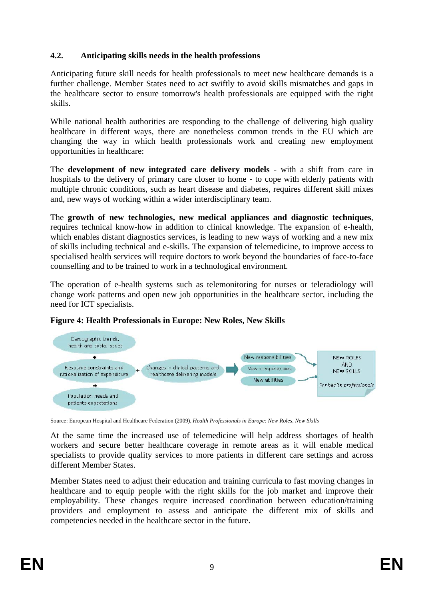# **4.2. Anticipating skills needs in the health professions**

Anticipating future skill needs for health professionals to meet new healthcare demands is a further challenge. Member States need to act swiftly to avoid skills mismatches and gaps in the healthcare sector to ensure tomorrow's health professionals are equipped with the right skills.

While national health authorities are responding to the challenge of delivering high quality healthcare in different ways, there are nonetheless common trends in the EU which are changing the way in which health professionals work and creating new employment opportunities in healthcare:

The **development of new integrated care delivery models** - with a shift from care in hospitals to the delivery of primary care closer to home - to cope with elderly patients with multiple chronic conditions, such as heart disease and diabetes, requires different skill mixes and, new ways of working within a wider interdisciplinary team.

The **growth of new technologies, new medical appliances and diagnostic techniques**, requires technical know-how in addition to clinical knowledge. The expansion of e-health, which enables distant diagnostics services, is leading to new ways of working and a new mix of skills including technical and e-skills. The expansion of telemedicine, to improve access to specialised health services will require doctors to work beyond the boundaries of face-to-face counselling and to be trained to work in a technological environment.

The operation of e-health systems such as telemonitoring for nurses or teleradiology will change work patterns and open new job opportunities in the healthcare sector, including the need for ICT specialists.



# **Figure 4: Health Professionals in Europe: New Roles, New Skills**

Source: European Hospital and Healthcare Federation (2009), *Health Professionals in Europe: New Roles, New Skills*

At the same time the increased use of telemedicine will help address shortages of health workers and secure better healthcare coverage in remote areas as it will enable medical specialists to provide quality services to more patients in different care settings and across different Member States.

Member States need to adjust their education and training curricula to fast moving changes in healthcare and to equip people with the right skills for the job market and improve their employability. These changes require increased coordination between education/training providers and employment to assess and anticipate the different mix of skills and competencies needed in the healthcare sector in the future.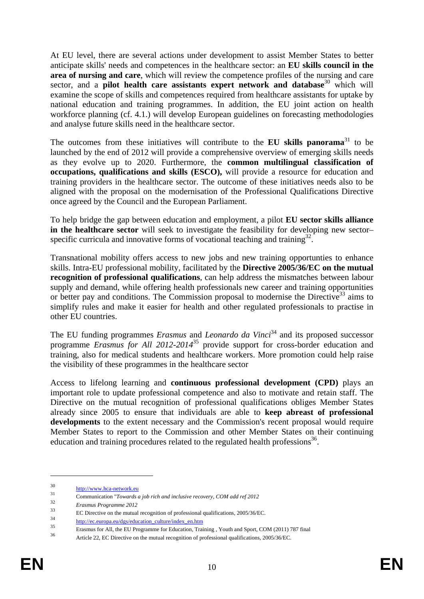At EU level, there are several actions under development to assist Member States to better anticipate skills' needs and competences in the healthcare sector: an **EU skills council in the area of nursing and care**, which will review the competence profiles of the nursing and care sector, and a **pilot health care assistants expert network and database**<sup>30</sup> which will examine the scope of skills and competences required from healthcare assistants for uptake by national education and training programmes. In addition, the EU joint action on health workforce planning (cf. 4.1.) will develop European guidelines on forecasting methodologies and analyse future skills need in the healthcare sector.

The outcomes from these initiatives will contribute to the **EU skills panorama**<sup>31</sup> to be launched by the end of 2012 will provide a comprehensive overview of emerging skills needs as they evolve up to 2020. Furthermore, the **common multilingual classification of occupations, qualifications and skills (ESCO),** will provide a resource for education and training providers in the healthcare sector. The outcome of these initiatives needs also to be aligned with the proposal on the modernisation of the Professional Qualifications Directive once agreed by the Council and the European Parliament.

To help bridge the gap between education and employment, a pilot **EU sector skills alliance in the healthcare sector** will seek to investigate the feasibility for developing new sector– specific curricula and innovative forms of vocational teaching and training $32$ .

Transnational mobility offers access to new jobs and new training opportunties to enhance skills. Intra-EU professional mobility, facilitated by the **Directive 2005/36/EC on the mutual recognition of professional qualifications**, can help address the mismatches between labour supply and demand, while offering health professionals new career and training opportunities or better pay and conditions. The Commission proposal to modernise the Directive<sup>33</sup> aims to simplify rules and make it easier for health and other regulated professionals to practise in other EU countries.

The EU funding programmes *Erasmus* and *Leonardo da Vinci*<sup>34</sup> and its proposed successor programme *Erasmus for All 2012-2014*<sup>35</sup> provide support for cross-border education and training, also for medical students and healthcare workers. More promotion could help raise the visibility of these programmes in the healthcare sector

Access to lifelong learning and **continuous professional development (CPD)** plays an important role to update professional competence and also to motivate and retain staff. The Directive on the mutual recognition of professional qualifications obliges Member States already since 2005 to ensure that individuals are able to **keep abreast of professional developments** to the extent necessary and the Commission's recent proposal would require Member States to report to the Commission and other Member States on their continuing education and training procedures related to the regulated health professions<sup>36</sup>.

 $\frac{\text{http://www.hca-network.eu}}{31}$  $\frac{\text{http://www.hca-network.eu}}{31}$  $\frac{\text{http://www.hca-network.eu}}{31}$ 

<sup>&</sup>lt;sup>31</sup> Communication "*Towards a job rich and inclusive recovery, COM add ref 2012* 

<sup>32</sup> *Erasmus Programme 2012*

[EC Directive on the mutual recognition of professional q](http://ec.europa.eu/dgs/education_culture/index_en.htm)ualifications, 2005/36/EC.<br>
http://ec.europa.eu/dgs/education\_culture/index\_en.htm<br>
35<br>
Frasmus for All, the EU Programme for Education, Training, Youth and Sport, CO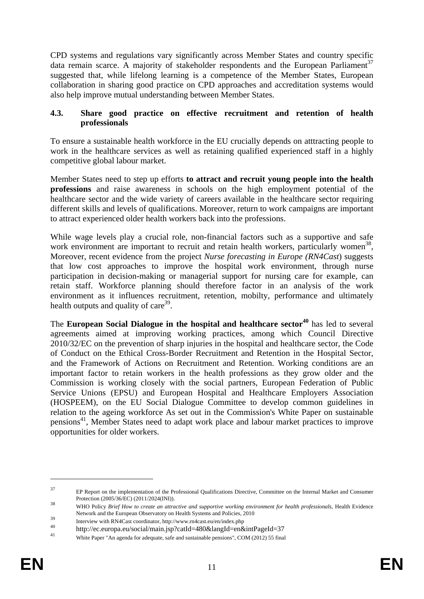CPD systems and regulations vary significantly across Member States and country specific data remain scarce. A majority of stakeholder respondents and the European Parliament<sup>37</sup> suggested that, while lifelong learning is a competence of the Member States, European collaboration in sharing good practice on CPD approaches and accreditation systems would also help improve mutual understanding between Member States.

## **4.3. Share good practice on effective recruitment and retention of health professionals**

To ensure a sustainable health workforce in the EU crucially depends on atttracting people to work in the healthcare services as well as retaining qualified experienced staff in a highly competitive global labour market.

Member States need to step up efforts **to attract and recruit young people into the health professions** and raise awareness in schools on the high employment potential of the healthcare sector and the wide variety of careers available in the healthcare sector requiring different skills and levels of qualifications. Moreover, return to work campaigns are important to attract experienced older health workers back into the professions.

While wage levels play a crucial role, non-financial factors such as a supportive and safe work environment are important to recruit and retain health workers, particularly women<sup>38</sup>, Moreover, recent evidence from the project *Nurse forecasting in Europe (RN4Cast*) suggests that low cost approaches to improve the hospital work environment, through nurse participation in decision-making or managerial support for nursing care for example, can retain staff. Workforce planning should therefore factor in an analysis of the work environment as it influences recruitment, retention, mobilty, performance and ultimately health outputs and quality of care<sup>39</sup>.

The **European Social Dialogue in the hospital and healthcare sector<sup>40</sup> has led to several** agreements aimed at improving working practices, among which Council Directive 2010/32/EC on the prevention of sharp injuries in the hospital and healthcare sector, the Code of Conduct on the Ethical Cross-Border Recruitment and Retention in the Hospital Sector, and the Framework of Actions on Recruitment and Retention. Working conditions are an important factor to retain workers in the health professions as they grow older and the Commission is working closely with the social partners, European Federation of Public Service Unions (EPSU) and European Hospital and Healthcare Employers Association (HOSPEEM), on the EU Social Dialogue Committee to develop common guidelines in relation to the ageing workforce As set out in the Commission's White Paper on sustainable pensions<sup>41</sup>, Member States need to adapt work place and labour market practices to improve opportunities for older workers.

<u>.</u>

<sup>37</sup> EP Report on the implementation of the Professional Qualifications Directive, Committee on the Internal Market and Consumer

Protection (2005/36/EC) (2011/2024(INI)). 38 WHO Policy *Brief How to create an attractive and supportive working environment for health professionals*, Health Evidence Network and the European Observatory on Health Systems and Policies, 2010

<sup>39&</sup>lt;br>
Interview with RN4Cast coordinator, http://www.rn4cast.eu/en/index.php<br>
http://ec.europa.eu/social/main.jsp?catId=480&langId=en&intPageId=37<br>
White Paper "An agenda for adequate, safe and sustainable pensions", COM (20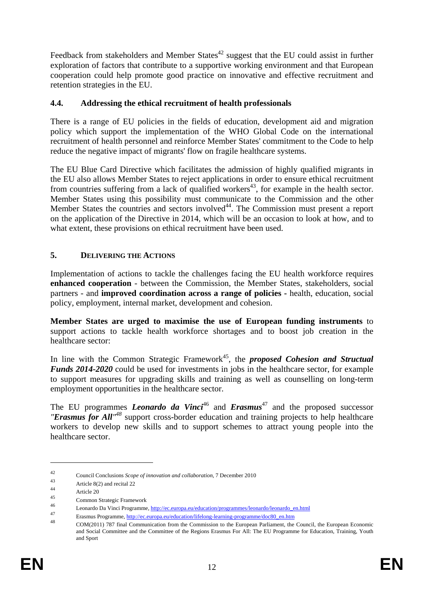Feedback from stakeholders and Member States<sup>42</sup> suggest that the EU could assist in further exploration of factors that contribute to a supportive working environment and that European cooperation could help promote good practice on innovative and effective recruitment and retention strategies in the EU.

## **4.4. Addressing the ethical recruitment of health professionals**

There is a range of EU policies in the fields of education, development aid and migration policy which support the implementation of the WHO Global Code on the international recruitment of health personnel and reinforce Member States' commitment to the Code to help reduce the negative impact of migrants' flow on fragile healthcare systems.

The EU Blue Card Directive which facilitates the admission of highly qualified migrants in the EU also allows Member States to reject applications in order to ensure ethical recruitment from countries suffering from a lack of qualified workers<sup>43</sup>, for example in the health sector. Member States using this possibility must communicate to the Commission and the other Member States the countries and sectors involved<sup>44</sup>. The Commission must present a report on the application of the Directive in 2014, which will be an occasion to look at how, and to what extent, these provisions on ethical recruitment have been used.

## <span id="page-13-0"></span>**5. DELIVERING THE ACTIONS**

Implementation of actions to tackle the challenges facing the EU health workforce requires **enhanced cooperation** - between the Commission, the Member States, stakeholders, social partners - and **improved coordination across a range of policies -** health, education, social policy, employment, internal market, development and cohesion.

**Member States are urged to maximise the use of European funding instruments** to support actions to tackle health workforce shortages and to boost job creation in the healthcare sector:

In line with the Common Strategic Framework<sup>45</sup>, the *proposed Cohesion and Structual Funds 2014-2020* could be used for investments in jobs in the healthcare sector, for example to support measures for upgrading skills and training as well as counselling on long-term employment opportunities in the healthcare sector.

The EU programmes *Leonardo da Vinci*<sup>46</sup> and *Erasmus*<sup>47</sup> and the proposed successor *"Erasmus for All<sup>'48</sup>* support cross-border education and training projects to help healthcare workers to develop new skills and to support schemes to attract young people into the healthcare sector.

<sup>42</sup> Council Conclusions *Scope of innovation and collaboration*, 7 December 2010<br>44 Article 8(2) and recital 22

 $44 \over 45$  Article 20

<sup>&</sup>lt;sup>45</sup> Common Strategic Framework

<sup>&</sup>lt;sup>46</sup> Leonardo Da Vinci Programme, <u>http://ec.europa.eu/education/programmes/leonardo/leonardo\_en.html</u>

Erasmus Programme[, http://ec.europa.eu/education/lifelong-learning-programme/doc80\\_en.htm](http://ec.europa.eu/education/lifelong-learning-programme/doc80_en.htm) COM(2011) 787 final Communication from the Commission to the European Parliament, the Council, the European Economic and Social Committee and the Committee of the Regions Erasmus For All: The EU Programme for Education, Training, Youth and Sport